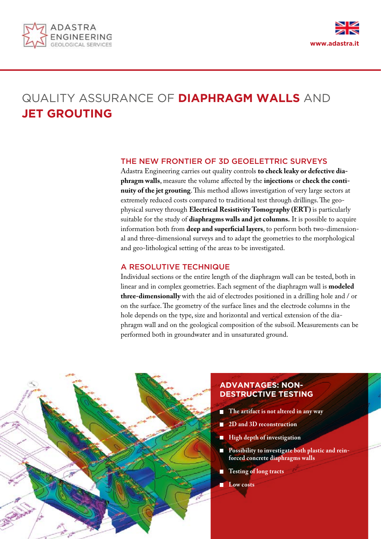



# QUALITY ASSURANCE OF **DIAPHRAGM WALLS** AND **JET GROUTING**

## THE NEW FRONTIER OF 3D GEOELETTRIC SURVEYS

Adastra Engineering carries out quality controls **to check leaky or defective diaphragm walls**, measure the volume affected by the **injections** or **check the continuity of the jet grouting**. This method allows investigation of very large sectors at extremely reduced costs compared to traditional test through drillings. The geophysical survey through **Electrical Resistivity Tomography (ERT)** is particularly suitable for the study of **diaphragms walls and jet columns.** It is possible to acquire information both from **deep and superficial layers**, to perform both two-dimensional and three-dimensional surveys and to adapt the geometries to the morphological and geo-lithological setting of the areas to be investigated.

## A RESOLUTIVE TECHNIQUE

Individual sections or the entire length of the diaphragm wall can be tested, both in linear and in complex geometries. Each segment of the diaphragm wall is **modeled three-dimensionally** with the aid of electrodes positioned in a drilling hole and / or on the surface. The geometry of the surface lines and the electrode columns in the hole depends on the type, size and horizontal and vertical extension of the diaphragm wall and on the geological composition of the subsoil. Measurements can be performed both in groundwater and in unsaturated ground.



# **ADVANTAGES: NON-DESTRUCTIVE TESTING**

- **The artifact is not altered in any way**
- **2D and 3D reconstruction**
- **High depth of investigation**
- **Possibility to investigate both plastic and reinforced concrete diaphragms walls**
- **Testing of long tracts**
- **Low costs**